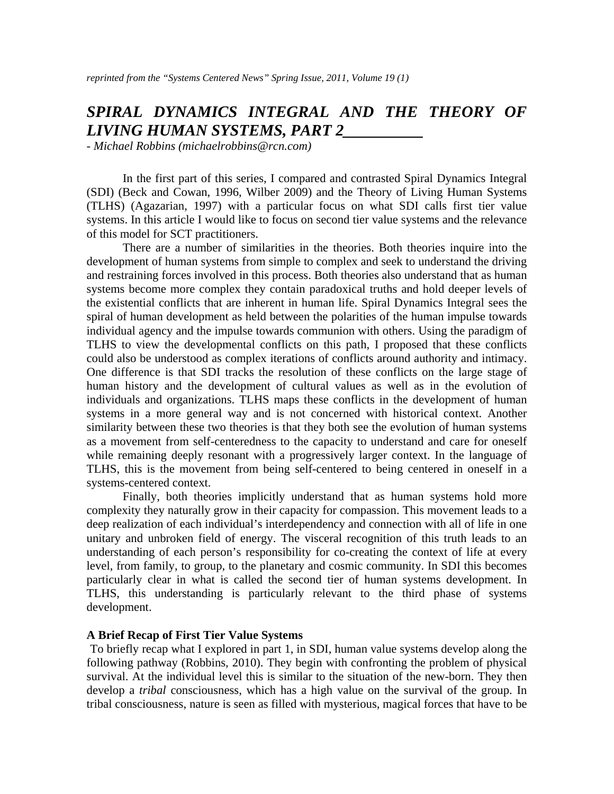# *SPIRAL DYNAMICS INTEGRAL AND THE THEORY OF LIVING HUMAN SYSTEMS, PART 2\_\_\_\_\_\_\_\_\_\_*

*- Michael Robbins (michaelrobbins@rcn.com)* 

In the first part of this series, I compared and contrasted Spiral Dynamics Integral (SDI) (Beck and Cowan, 1996, Wilber 2009) and the Theory of Living Human Systems (TLHS) (Agazarian, 1997) with a particular focus on what SDI calls first tier value systems. In this article I would like to focus on second tier value systems and the relevance of this model for SCT practitioners.

There are a number of similarities in the theories. Both theories inquire into the development of human systems from simple to complex and seek to understand the driving and restraining forces involved in this process. Both theories also understand that as human systems become more complex they contain paradoxical truths and hold deeper levels of the existential conflicts that are inherent in human life. Spiral Dynamics Integral sees the spiral of human development as held between the polarities of the human impulse towards individual agency and the impulse towards communion with others. Using the paradigm of TLHS to view the developmental conflicts on this path, I proposed that these conflicts could also be understood as complex iterations of conflicts around authority and intimacy. One difference is that SDI tracks the resolution of these conflicts on the large stage of human history and the development of cultural values as well as in the evolution of individuals and organizations. TLHS maps these conflicts in the development of human systems in a more general way and is not concerned with historical context. Another similarity between these two theories is that they both see the evolution of human systems as a movement from self-centeredness to the capacity to understand and care for oneself while remaining deeply resonant with a progressively larger context. In the language of TLHS, this is the movement from being self-centered to being centered in oneself in a systems-centered context.

Finally, both theories implicitly understand that as human systems hold more complexity they naturally grow in their capacity for compassion. This movement leads to a deep realization of each individual's interdependency and connection with all of life in one unitary and unbroken field of energy. The visceral recognition of this truth leads to an understanding of each person's responsibility for co-creating the context of life at every level, from family, to group, to the planetary and cosmic community. In SDI this becomes particularly clear in what is called the second tier of human systems development. In TLHS, this understanding is particularly relevant to the third phase of systems development.

### **A Brief Recap of First Tier Value Systems**

 To briefly recap what I explored in part 1, in SDI, human value systems develop along the following pathway (Robbins, 2010). They begin with confronting the problem of physical survival. At the individual level this is similar to the situation of the new-born. They then develop a *tribal* consciousness, which has a high value on the survival of the group. In tribal consciousness, nature is seen as filled with mysterious, magical forces that have to be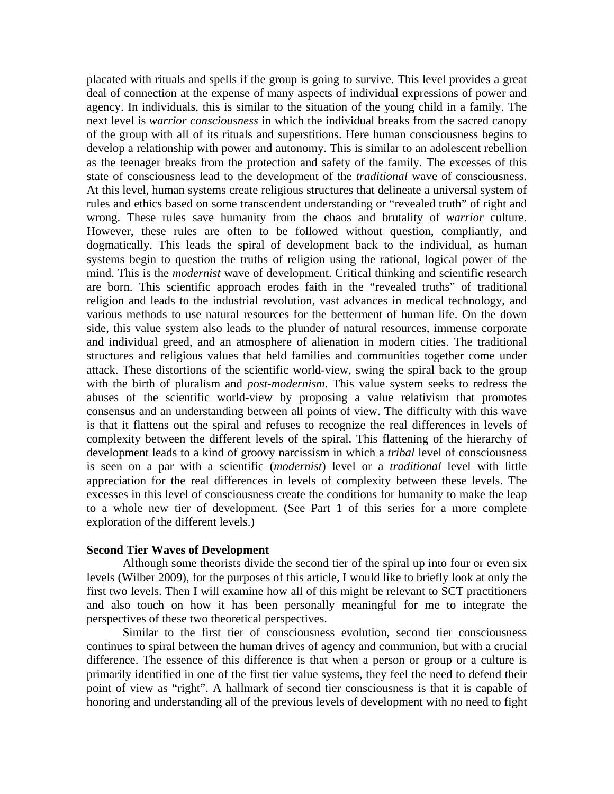placated with rituals and spells if the group is going to survive. This level provides a great deal of connection at the expense of many aspects of individual expressions of power and agency. In individuals, this is similar to the situation of the young child in a family. The next level is *warrior consciousness* in which the individual breaks from the sacred canopy of the group with all of its rituals and superstitions. Here human consciousness begins to develop a relationship with power and autonomy. This is similar to an adolescent rebellion as the teenager breaks from the protection and safety of the family. The excesses of this state of consciousness lead to the development of the *traditional* wave of consciousness. At this level, human systems create religious structures that delineate a universal system of rules and ethics based on some transcendent understanding or "revealed truth" of right and wrong. These rules save humanity from the chaos and brutality of *warrior* culture. However, these rules are often to be followed without question, compliantly, and dogmatically. This leads the spiral of development back to the individual, as human systems begin to question the truths of religion using the rational, logical power of the mind. This is the *modernist* wave of development. Critical thinking and scientific research are born. This scientific approach erodes faith in the "revealed truths" of traditional religion and leads to the industrial revolution, vast advances in medical technology, and various methods to use natural resources for the betterment of human life. On the down side, this value system also leads to the plunder of natural resources, immense corporate and individual greed, and an atmosphere of alienation in modern cities. The traditional structures and religious values that held families and communities together come under attack. These distortions of the scientific world-view, swing the spiral back to the group with the birth of pluralism and *post-modernism*. This value system seeks to redress the abuses of the scientific world-view by proposing a value relativism that promotes consensus and an understanding between all points of view. The difficulty with this wave is that it flattens out the spiral and refuses to recognize the real differences in levels of complexity between the different levels of the spiral. This flattening of the hierarchy of development leads to a kind of groovy narcissism in which a *tribal* level of consciousness is seen on a par with a scientific (*modernist*) level or a *traditional* level with little appreciation for the real differences in levels of complexity between these levels. The excesses in this level of consciousness create the conditions for humanity to make the leap to a whole new tier of development. (See Part 1 of this series for a more complete exploration of the different levels.)

### **Second Tier Waves of Development**

Although some theorists divide the second tier of the spiral up into four or even six levels (Wilber 2009), for the purposes of this article, I would like to briefly look at only the first two levels. Then I will examine how all of this might be relevant to SCT practitioners and also touch on how it has been personally meaningful for me to integrate the perspectives of these two theoretical perspectives.

Similar to the first tier of consciousness evolution, second tier consciousness continues to spiral between the human drives of agency and communion, but with a crucial difference. The essence of this difference is that when a person or group or a culture is primarily identified in one of the first tier value systems, they feel the need to defend their point of view as "right". A hallmark of second tier consciousness is that it is capable of honoring and understanding all of the previous levels of development with no need to fight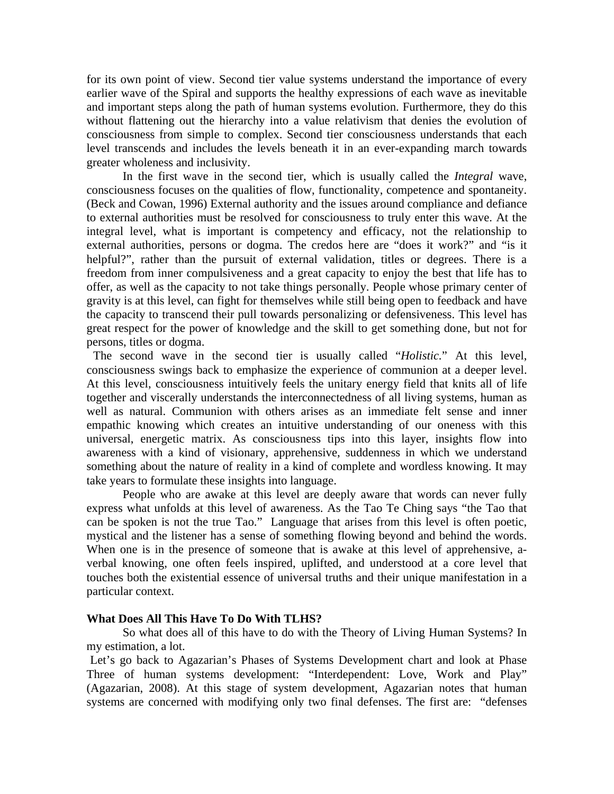for its own point of view. Second tier value systems understand the importance of every earlier wave of the Spiral and supports the healthy expressions of each wave as inevitable and important steps along the path of human systems evolution. Furthermore, they do this without flattening out the hierarchy into a value relativism that denies the evolution of consciousness from simple to complex. Second tier consciousness understands that each level transcends and includes the levels beneath it in an ever-expanding march towards greater wholeness and inclusivity.

In the first wave in the second tier, which is usually called the *Integral* wave, consciousness focuses on the qualities of flow, functionality, competence and spontaneity. (Beck and Cowan, 1996) External authority and the issues around compliance and defiance to external authorities must be resolved for consciousness to truly enter this wave. At the integral level, what is important is competency and efficacy, not the relationship to external authorities, persons or dogma. The credos here are "does it work?" and "is it helpful?", rather than the pursuit of external validation, titles or degrees. There is a freedom from inner compulsiveness and a great capacity to enjoy the best that life has to offer, as well as the capacity to not take things personally. People whose primary center of gravity is at this level, can fight for themselves while still being open to feedback and have the capacity to transcend their pull towards personalizing or defensiveness. This level has great respect for the power of knowledge and the skill to get something done, but not for persons, titles or dogma.

 The second wave in the second tier is usually called "*Holistic.*" At this level, consciousness swings back to emphasize the experience of communion at a deeper level. At this level, consciousness intuitively feels the unitary energy field that knits all of life together and viscerally understands the interconnectedness of all living systems, human as well as natural. Communion with others arises as an immediate felt sense and inner empathic knowing which creates an intuitive understanding of our oneness with this universal, energetic matrix. As consciousness tips into this layer, insights flow into awareness with a kind of visionary, apprehensive, suddenness in which we understand something about the nature of reality in a kind of complete and wordless knowing. It may take years to formulate these insights into language.

People who are awake at this level are deeply aware that words can never fully express what unfolds at this level of awareness. As the Tao Te Ching says "the Tao that can be spoken is not the true Tao." Language that arises from this level is often poetic, mystical and the listener has a sense of something flowing beyond and behind the words. When one is in the presence of someone that is awake at this level of apprehensive, averbal knowing, one often feels inspired, uplifted, and understood at a core level that touches both the existential essence of universal truths and their unique manifestation in a particular context.

## **What Does All This Have To Do With TLHS?**

So what does all of this have to do with the Theory of Living Human Systems? In my estimation, a lot.

 Let's go back to Agazarian's Phases of Systems Development chart and look at Phase Three of human systems development: "Interdependent: Love, Work and Play" (Agazarian, 2008). At this stage of system development, Agazarian notes that human systems are concerned with modifying only two final defenses. The first are: "defenses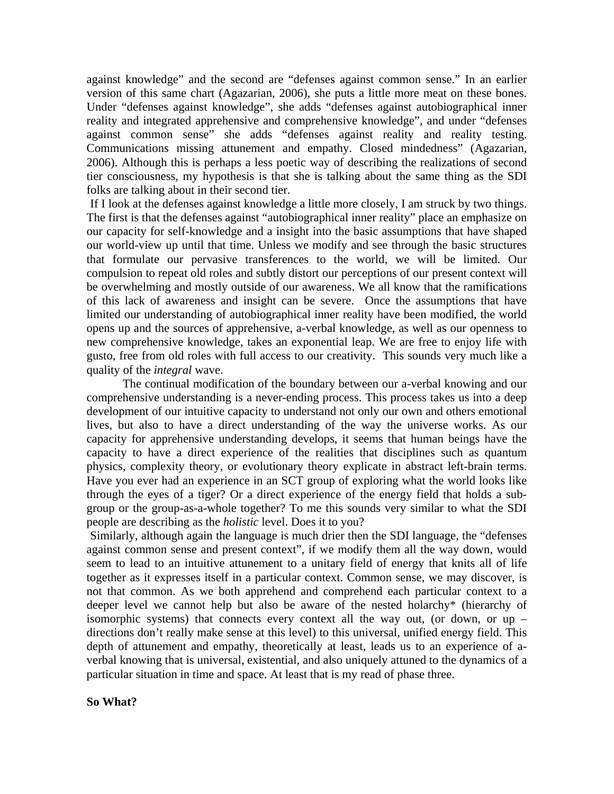against knowledge" and the second are "defenses against common sense." In an earlier version of this same chart (Agazarian, 2006), she puts a little more meat on these bones. Under "defenses against knowledge", she adds "defenses against autobiographical inner reality and integrated apprehensive and comprehensive knowledge", and under "defenses against common sense" she adds "defenses against reality and reality testing. Communications missing attunement and empathy. Closed mindedness" (Agazarian, 2006). Although this is perhaps a less poetic way of describing the realizations of second tier consciousness, my hypothesis is that she is talking about the same thing as the SDI folks are talking about in their second tier.

 If I look at the defenses against knowledge a little more closely, I am struck by two things. The first is that the defenses against "autobiographical inner reality" place an emphasize on our capacity for self-knowledge and a insight into the basic assumptions that have shaped our world-view up until that time. Unless we modify and see through the basic structures that formulate our pervasive transferences to the world, we will be limited. Our compulsion to repeat old roles and subtly distort our perceptions of our present context will be overwhelming and mostly outside of our awareness. We all know that the ramifications of this lack of awareness and insight can be severe. Once the assumptions that have limited our understanding of autobiographical inner reality have been modified, the world opens up and the sources of apprehensive, a-verbal knowledge, as well as our openness to new comprehensive knowledge, takes an exponential leap. We are free to enjoy life with gusto, free from old roles with full access to our creativity. This sounds very much like a quality of the *integral* wave.

The continual modification of the boundary between our a-verbal knowing and our comprehensive understanding is a never-ending process. This process takes us into a deep development of our intuitive capacity to understand not only our own and others emotional lives, but also to have a direct understanding of the way the universe works. As our capacity for apprehensive understanding develops, it seems that human beings have the capacity to have a direct experience of the realities that disciplines such as quantum physics, complexity theory, or evolutionary theory explicate in abstract left-brain terms. Have you ever had an experience in an SCT group of exploring what the world looks like through the eyes of a tiger? Or a direct experience of the energy field that holds a subgroup or the group-as-a-whole together? To me this sounds very similar to what the SDI people are describing as the *holistic* level. Does it to you?

 Similarly, although again the language is much drier then the SDI language, the "defenses against common sense and present context", if we modify them all the way down, would seem to lead to an intuitive attunement to a unitary field of energy that knits all of life together as it expresses itself in a particular context. Common sense, we may discover, is not that common. As we both apprehend and comprehend each particular context to a deeper level we cannot help but also be aware of the nested holarchy\* (hierarchy of isomorphic systems) that connects every context all the way out, (or down, or up – directions don't really make sense at this level) to this universal, unified energy field. This depth of attunement and empathy, theoretically at least, leads us to an experience of averbal knowing that is universal, existential, and also uniquely attuned to the dynamics of a particular situation in time and space. At least that is my read of phase three.

#### **So What?**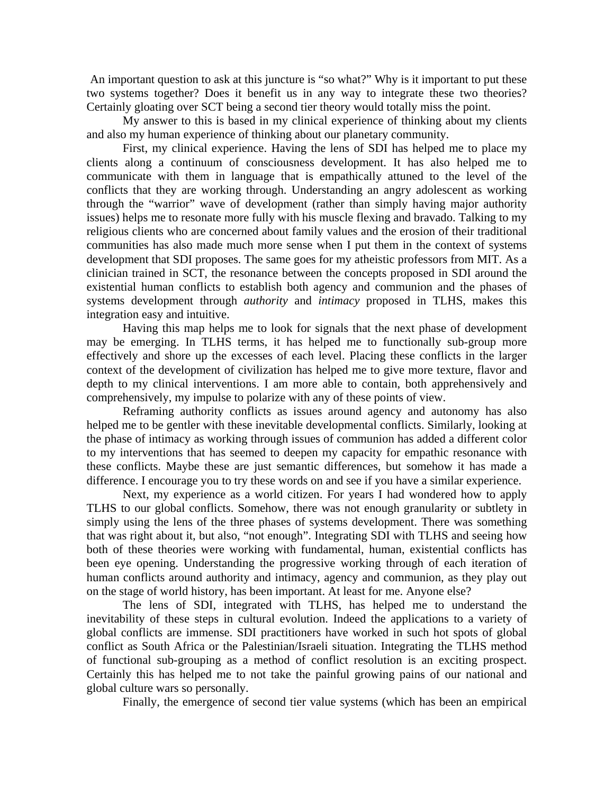An important question to ask at this juncture is "so what?" Why is it important to put these two systems together? Does it benefit us in any way to integrate these two theories? Certainly gloating over SCT being a second tier theory would totally miss the point.

My answer to this is based in my clinical experience of thinking about my clients and also my human experience of thinking about our planetary community.

First, my clinical experience. Having the lens of SDI has helped me to place my clients along a continuum of consciousness development. It has also helped me to communicate with them in language that is empathically attuned to the level of the conflicts that they are working through. Understanding an angry adolescent as working through the "warrior" wave of development (rather than simply having major authority issues) helps me to resonate more fully with his muscle flexing and bravado. Talking to my religious clients who are concerned about family values and the erosion of their traditional communities has also made much more sense when I put them in the context of systems development that SDI proposes. The same goes for my atheistic professors from MIT. As a clinician trained in SCT, the resonance between the concepts proposed in SDI around the existential human conflicts to establish both agency and communion and the phases of systems development through *authority* and *intimacy* proposed in TLHS, makes this integration easy and intuitive.

Having this map helps me to look for signals that the next phase of development may be emerging. In TLHS terms, it has helped me to functionally sub-group more effectively and shore up the excesses of each level. Placing these conflicts in the larger context of the development of civilization has helped me to give more texture, flavor and depth to my clinical interventions. I am more able to contain, both apprehensively and comprehensively, my impulse to polarize with any of these points of view.

Reframing authority conflicts as issues around agency and autonomy has also helped me to be gentler with these inevitable developmental conflicts. Similarly, looking at the phase of intimacy as working through issues of communion has added a different color to my interventions that has seemed to deepen my capacity for empathic resonance with these conflicts. Maybe these are just semantic differences, but somehow it has made a difference. I encourage you to try these words on and see if you have a similar experience.

Next, my experience as a world citizen. For years I had wondered how to apply TLHS to our global conflicts. Somehow, there was not enough granularity or subtlety in simply using the lens of the three phases of systems development. There was something that was right about it, but also, "not enough". Integrating SDI with TLHS and seeing how both of these theories were working with fundamental, human, existential conflicts has been eye opening. Understanding the progressive working through of each iteration of human conflicts around authority and intimacy, agency and communion, as they play out on the stage of world history, has been important. At least for me. Anyone else?

The lens of SDI, integrated with TLHS, has helped me to understand the inevitability of these steps in cultural evolution. Indeed the applications to a variety of global conflicts are immense. SDI practitioners have worked in such hot spots of global conflict as South Africa or the Palestinian/Israeli situation. Integrating the TLHS method of functional sub-grouping as a method of conflict resolution is an exciting prospect. Certainly this has helped me to not take the painful growing pains of our national and global culture wars so personally.

Finally, the emergence of second tier value systems (which has been an empirical